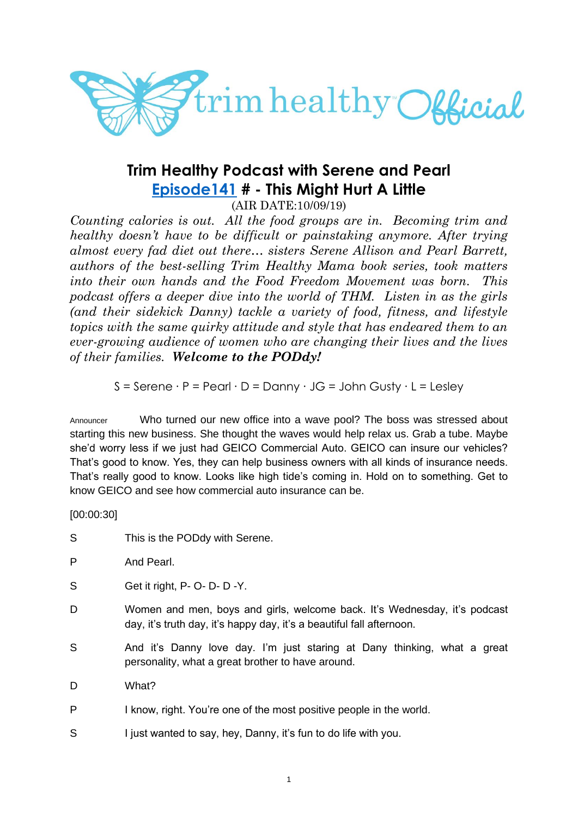

# **Trim Healthy Podcast with Serene and Pearl [Episode141](https://cms.megaphone.fm/channel/trimhealthypodcast?selected=ADL2727157689) # - This Might Hurt A Little**

(AIR DATE:10/09/19)

*Counting calories is out. All the food groups are in. Becoming trim and healthy doesn't have to be difficult or painstaking anymore. After trying almost every fad diet out there… sisters Serene Allison and Pearl Barrett, authors of the best-selling Trim Healthy Mama book series, took matters into their own hands and the Food Freedom Movement was born. This podcast offers a deeper dive into the world of THM. Listen in as the girls (and their sidekick Danny) tackle a variety of food, fitness, and lifestyle topics with the same quirky attitude and style that has endeared them to an ever-growing audience of women who are changing their lives and the lives of their families. Welcome to the PODdy!*

S = Serene ∙ P = Pearl ∙ D = Danny ∙ JG = John Gusty ∙ L = Lesley

Announcer Who turned our new office into a wave pool? The boss was stressed about starting this new business. She thought the waves would help relax us. Grab a tube. Maybe she'd worry less if we just had GEICO Commercial Auto. GEICO can insure our vehicles? That's good to know. Yes, they can help business owners with all kinds of insurance needs. That's really good to know. Looks like high tide's coming in. Hold on to something. Get to know GEICO and see how commercial auto insurance can be.

[00:00:30]

- S This is the PODdy with Serene.
- P And Pearl.
- S Get it right, P- O- D- D-Y.
- D Women and men, boys and girls, welcome back. It's Wednesday, it's podcast day, it's truth day, it's happy day, it's a beautiful fall afternoon.
- S And it's Danny love day. I'm just staring at Dany thinking, what a great personality, what a great brother to have around.
- D What?
- P I know, right. You're one of the most positive people in the world.
- S I just wanted to say, hey, Danny, it's fun to do life with you.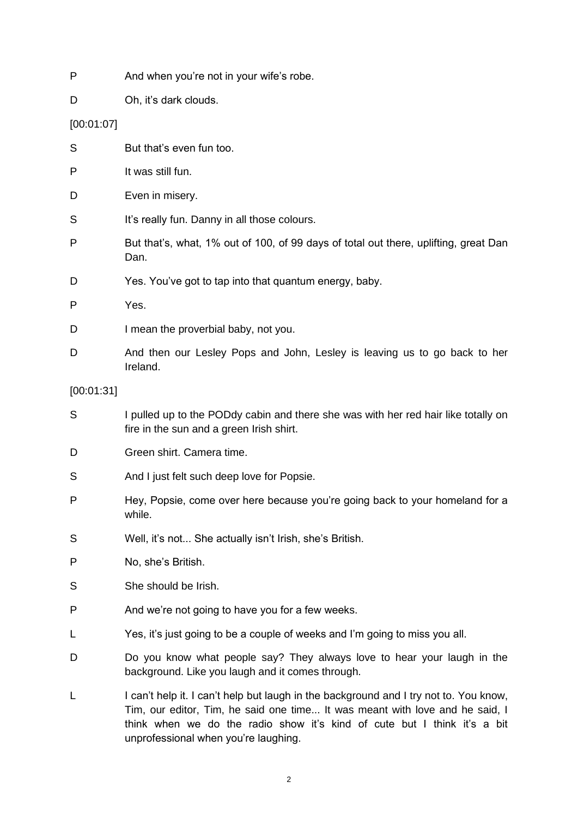- P And when you're not in your wife's robe.
- D Oh, it's dark clouds.

# [00:01:07]

| S          | But that's even fun too.                                                                                                                                                                                                                          |
|------------|---------------------------------------------------------------------------------------------------------------------------------------------------------------------------------------------------------------------------------------------------|
| P          | It was still fun.                                                                                                                                                                                                                                 |
| D          | Even in misery.                                                                                                                                                                                                                                   |
| S          | It's really fun. Danny in all those colours.                                                                                                                                                                                                      |
| P          | But that's, what, 1% out of 100, of 99 days of total out there, uplifting, great Dan<br>Dan.                                                                                                                                                      |
| D          | Yes. You've got to tap into that quantum energy, baby.                                                                                                                                                                                            |
| P          | Yes.                                                                                                                                                                                                                                              |
| D          | I mean the proverbial baby, not you.                                                                                                                                                                                                              |
| D          | And then our Lesley Pops and John, Lesley is leaving us to go back to her<br>Ireland.                                                                                                                                                             |
| [00:01:31] |                                                                                                                                                                                                                                                   |
| S          | I pulled up to the PODdy cabin and there she was with her red hair like totally on<br>fire in the sun and a green Irish shirt.                                                                                                                    |
| D          | Green shirt. Camera time.                                                                                                                                                                                                                         |
| S          | And I just felt such deep love for Popsie.                                                                                                                                                                                                        |
| P          | Hey, Popsie, come over here because you're going back to your homeland for a<br>while.                                                                                                                                                            |
| S          | Well, it's not She actually isn't Irish, she's British.                                                                                                                                                                                           |
| P          | No, she's British.                                                                                                                                                                                                                                |
| S          | She should be Irish.                                                                                                                                                                                                                              |
| P          | And we're not going to have you for a few weeks.                                                                                                                                                                                                  |
| L          | Yes, it's just going to be a couple of weeks and I'm going to miss you all.                                                                                                                                                                       |
| D          | Do you know what people say? They always love to hear your laugh in the<br>background. Like you laugh and it comes through.                                                                                                                       |
| L          | I can't help it. I can't help but laugh in the background and I try not to. You know,<br>Tim, our editor, Tim, he said one time It was meant with love and he said, I<br>think when we do the radio show it's kind of cute but I think it's a bit |

unprofessional when you're laughing.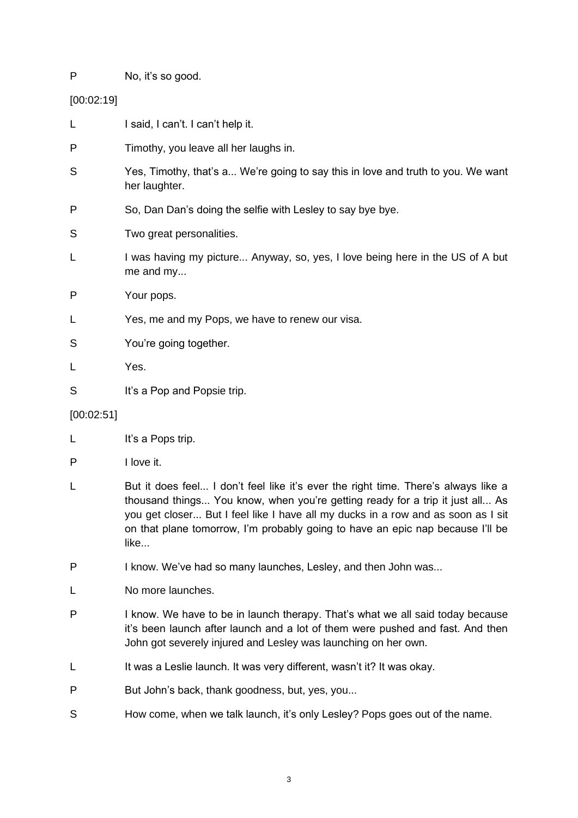P No, it's so good.

[00:02:19]

L I said. I can't. I can't help it. P Timothy, you leave all her laughs in. S Yes, Timothy, that's a... We're going to say this in love and truth to you. We want her laughter. P So, Dan Dan's doing the selfie with Lesley to say bye bye. S Two great personalities. L I was having my picture... Anyway, so, yes, I love being here in the US of A but me and my... P Your pops. L Yes, me and my Pops, we have to renew our visa. S You're going together. L Yes. S It's a Pop and Popsie trip.

# [00:02:51]

- L It's a Pops trip.
- P I love it.
- L But it does feel... I don't feel like it's ever the right time. There's always like a thousand things... You know, when you're getting ready for a trip it just all... As you get closer... But I feel like I have all my ducks in a row and as soon as I sit on that plane tomorrow, I'm probably going to have an epic nap because I'll be like...
- P I know. We've had so many launches, Lesley, and then John was...
- L No more launches.
- P I know. We have to be in launch therapy. That's what we all said today because it's been launch after launch and a lot of them were pushed and fast. And then John got severely injured and Lesley was launching on her own.
- L It was a Leslie launch. It was very different, wasn't it? It was okay.
- P But John's back, thank goodness, but, yes, you...
- S How come, when we talk launch, it's only Lesley? Pops goes out of the name.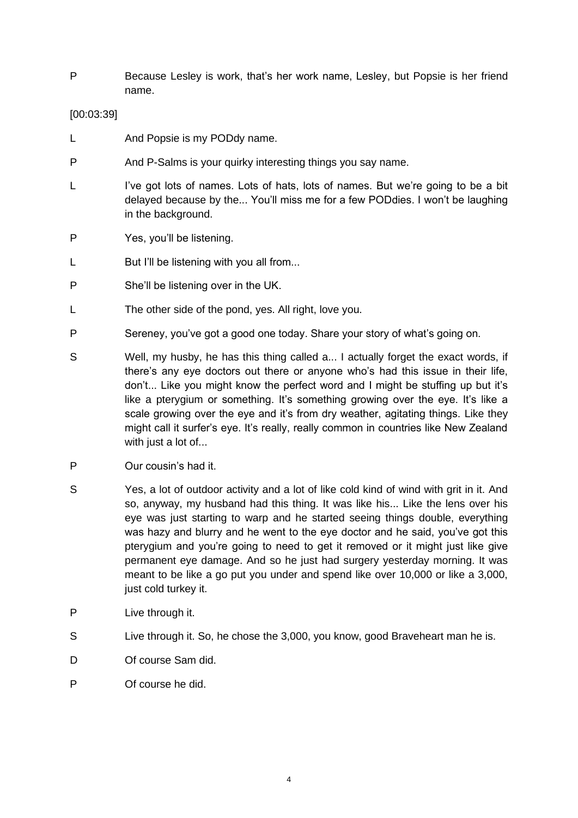P Because Lesley is work, that's her work name, Lesley, but Popsie is her friend name.

## [00:03:39]

- L And Popsie is my PODdy name.
- P And P-Salms is your quirky interesting things you say name.
- L I've got lots of names. Lots of hats, lots of names. But we're going to be a bit delayed because by the... You'll miss me for a few PODdies. I won't be laughing in the background.
- P Yes, you'll be listening.
- L But I'll be listening with you all from...
- P She'll be listening over in the UK.
- L The other side of the pond, yes. All right, love you.
- P Sereney, you've got a good one today. Share your story of what's going on.
- S Well, my husby, he has this thing called a... I actually forget the exact words, if there's any eye doctors out there or anyone who's had this issue in their life, don't... Like you might know the perfect word and I might be stuffing up but it's like a pterygium or something. It's something growing over the eye. It's like a scale growing over the eye and it's from dry weather, agitating things. Like they might call it surfer's eye. It's really, really common in countries like New Zealand with just a lot of...
- P Our cousin's had it.
- S Yes, a lot of outdoor activity and a lot of like cold kind of wind with grit in it. And so, anyway, my husband had this thing. It was like his... Like the lens over his eye was just starting to warp and he started seeing things double, everything was hazy and blurry and he went to the eye doctor and he said, you've got this pterygium and you're going to need to get it removed or it might just like give permanent eye damage. And so he just had surgery yesterday morning. It was meant to be like a go put you under and spend like over 10,000 or like a 3,000, just cold turkey it.
- P Live through it.
- S Live through it. So, he chose the 3,000, you know, good Braveheart man he is.
- D Of course Sam did.
- P Of course he did.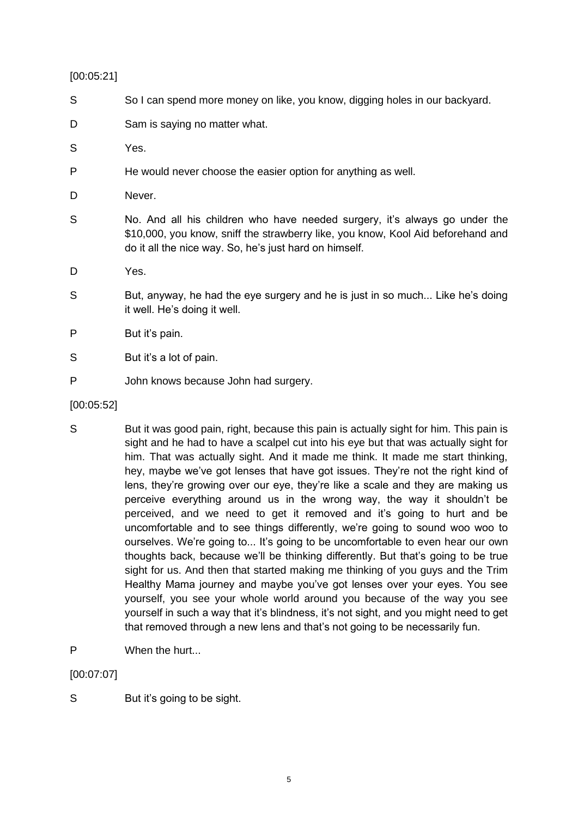#### [00:05:21]

- S So I can spend more money on like, you know, digging holes in our backyard.
- D Sam is saving no matter what.
- S Yes.
- P He would never choose the easier option for anything as well.
- D Never.
- S No. And all his children who have needed surgery, it's always go under the \$10,000, you know, sniff the strawberry like, you know, Kool Aid beforehand and do it all the nice way. So, he's just hard on himself.
- D Yes.
- S But, anyway, he had the eye surgery and he is just in so much... Like he's doing it well. He's doing it well.
- P But it's pain.
- S But it's a lot of pain.
- P John knows because John had surgery.
- [00:05:52]
- S But it was good pain, right, because this pain is actually sight for him. This pain is sight and he had to have a scalpel cut into his eye but that was actually sight for him. That was actually sight. And it made me think. It made me start thinking, hey, maybe we've got lenses that have got issues. They're not the right kind of lens, they're growing over our eye, they're like a scale and they are making us perceive everything around us in the wrong way, the way it shouldn't be perceived, and we need to get it removed and it's going to hurt and be uncomfortable and to see things differently, we're going to sound woo woo to ourselves. We're going to... It's going to be uncomfortable to even hear our own thoughts back, because we'll be thinking differently. But that's going to be true sight for us. And then that started making me thinking of you guys and the Trim Healthy Mama journey and maybe you've got lenses over your eyes. You see yourself, you see your whole world around you because of the way you see yourself in such a way that it's blindness, it's not sight, and you might need to get that removed through a new lens and that's not going to be necessarily fun.
- P When the hurt...

[00:07:07]

S But it's going to be sight.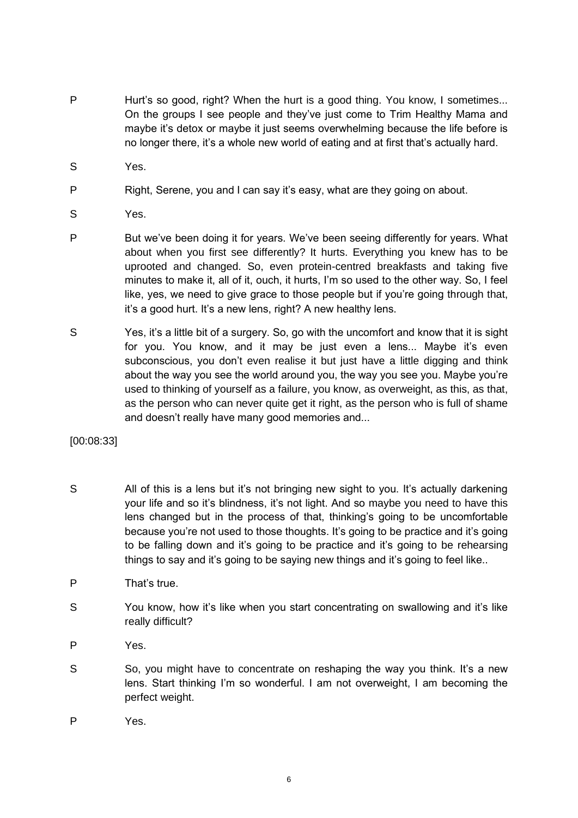- P Hurt's so good, right? When the hurt is a good thing. You know, I sometimes... On the groups I see people and they've just come to Trim Healthy Mama and maybe it's detox or maybe it just seems overwhelming because the life before is no longer there, it's a whole new world of eating and at first that's actually hard.
- S Yes.
- P Right, Serene, you and I can say it's easy, what are they going on about.
- S Yes.
- P But we've been doing it for years. We've been seeing differently for years. What about when you first see differently? It hurts. Everything you knew has to be uprooted and changed. So, even protein-centred breakfasts and taking five minutes to make it, all of it, ouch, it hurts, I'm so used to the other way. So, I feel like, yes, we need to give grace to those people but if you're going through that, it's a good hurt. It's a new lens, right? A new healthy lens.
- S Yes, it's a little bit of a surgery. So, go with the uncomfort and know that it is sight for you. You know, and it may be just even a lens... Maybe it's even subconscious, you don't even realise it but just have a little digging and think about the way you see the world around you, the way you see you. Maybe you're used to thinking of yourself as a failure, you know, as overweight, as this, as that, as the person who can never quite get it right, as the person who is full of shame and doesn't really have many good memories and...

[00:08:33]

- S All of this is a lens but it's not bringing new sight to you. It's actually darkening your life and so it's blindness, it's not light. And so maybe you need to have this lens changed but in the process of that, thinking's going to be uncomfortable because you're not used to those thoughts. It's going to be practice and it's going to be falling down and it's going to be practice and it's going to be rehearsing things to say and it's going to be saying new things and it's going to feel like..
- P That's true.
- S You know, how it's like when you start concentrating on swallowing and it's like really difficult?
- P Yes.
- S So, you might have to concentrate on reshaping the way you think. It's a new lens. Start thinking I'm so wonderful. I am not overweight, I am becoming the perfect weight.
- P Yes.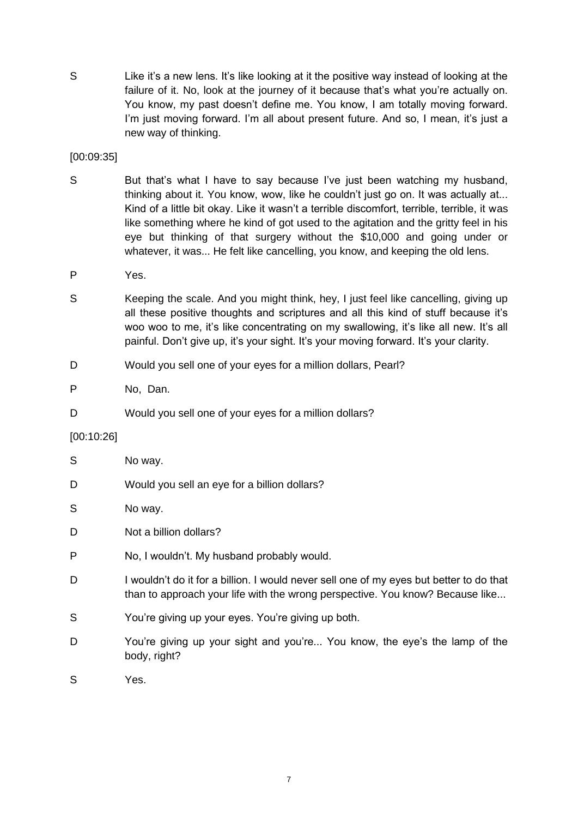S Elike it's a new lens. It's like looking at it the positive way instead of looking at the failure of it. No, look at the journey of it because that's what you're actually on. You know, my past doesn't define me. You know, I am totally moving forward. I'm just moving forward. I'm all about present future. And so, I mean, it's just a new way of thinking.

[00:09:35]

- S But that's what I have to say because I've just been watching my husband, thinking about it. You know, wow, like he couldn't just go on. It was actually at... Kind of a little bit okay. Like it wasn't a terrible discomfort, terrible, terrible, it was like something where he kind of got used to the agitation and the gritty feel in his eye but thinking of that surgery without the \$10,000 and going under or whatever, it was... He felt like cancelling, you know, and keeping the old lens.
- P Yes.
- S Keeping the scale. And you might think, hey, I just feel like cancelling, giving up all these positive thoughts and scriptures and all this kind of stuff because it's woo woo to me, it's like concentrating on my swallowing, it's like all new. It's all painful. Don't give up, it's your sight. It's your moving forward. It's your clarity.
- D Would you sell one of your eyes for a million dollars, Pearl?

P No, Dan.

D Would you sell one of your eyes for a million dollars?

#### [00:10:26]

| S | No way.                                                                                                                                                                  |
|---|--------------------------------------------------------------------------------------------------------------------------------------------------------------------------|
| D | Would you sell an eye for a billion dollars?                                                                                                                             |
| S | No way.                                                                                                                                                                  |
| D | Not a billion dollars?                                                                                                                                                   |
| P | No, I wouldn't. My husband probably would.                                                                                                                               |
| D | I wouldn't do it for a billion. I would never sell one of my eyes but better to do that<br>than to approach your life with the wrong perspective. You know? Because like |
| S | You're giving up your eyes. You're giving up both.                                                                                                                       |
| D | You're giving up your sight and you're You know, the eye's the lamp of the<br>body, right?                                                                               |
| S | Yes.                                                                                                                                                                     |
|   |                                                                                                                                                                          |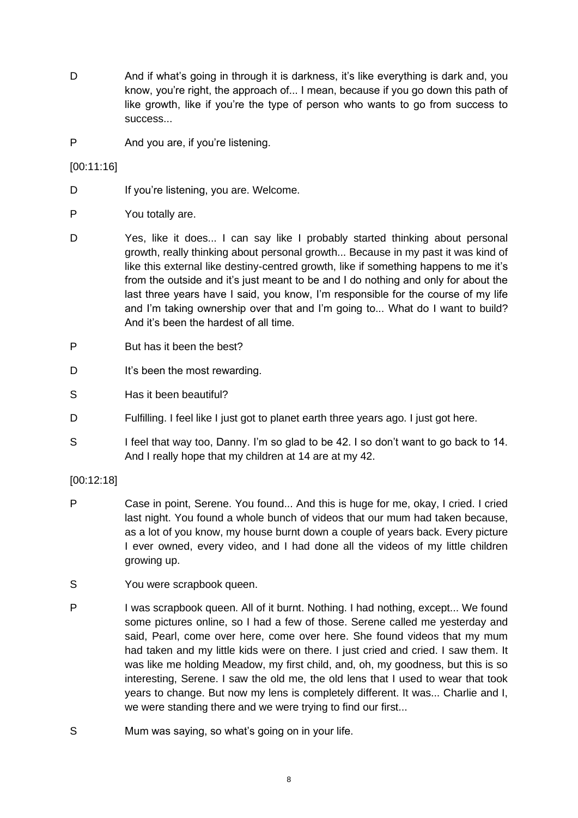- D And if what's going in through it is darkness, it's like everything is dark and, you know, you're right, the approach of... I mean, because if you go down this path of like growth, like if you're the type of person who wants to go from success to success...
- P And you are, if you're listening.

[00:11:16]

- D If you're listening, you are. Welcome.
- P You totally are.
- D Yes, like it does... I can say like I probably started thinking about personal growth, really thinking about personal growth... Because in my past it was kind of like this external like destiny-centred growth, like if something happens to me it's from the outside and it's just meant to be and I do nothing and only for about the last three years have I said, you know, I'm responsible for the course of my life and I'm taking ownership over that and I'm going to... What do I want to build? And it's been the hardest of all time.
- P But has it been the best?
- D It's been the most rewarding.
- S Has it been beautiful?
- D Fulfilling. I feel like I just got to planet earth three years ago. I just got here.
- S I feel that way too, Danny. I'm so glad to be 42. I so don't want to go back to 14. And I really hope that my children at 14 are at my 42.
- [00:12:18]
- P Case in point, Serene. You found... And this is huge for me, okay, I cried. I cried last night. You found a whole bunch of videos that our mum had taken because, as a lot of you know, my house burnt down a couple of years back. Every picture I ever owned, every video, and I had done all the videos of my little children growing up.
- S You were scrapbook queen.
- P I was scrapbook queen. All of it burnt. Nothing. I had nothing, except... We found some pictures online, so I had a few of those. Serene called me yesterday and said, Pearl, come over here, come over here. She found videos that my mum had taken and my little kids were on there. I just cried and cried. I saw them. It was like me holding Meadow, my first child, and, oh, my goodness, but this is so interesting, Serene. I saw the old me, the old lens that I used to wear that took years to change. But now my lens is completely different. It was... Charlie and I, we were standing there and we were trying to find our first...
- S Mum was saying, so what's going on in your life.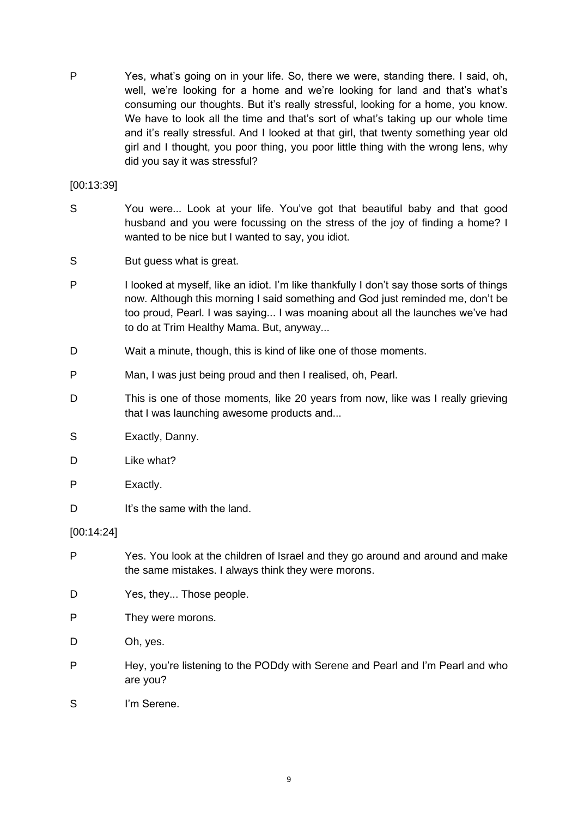P Yes, what's going on in your life. So, there we were, standing there. I said, oh, well, we're looking for a home and we're looking for land and that's what's consuming our thoughts. But it's really stressful, looking for a home, you know. We have to look all the time and that's sort of what's taking up our whole time and it's really stressful. And I looked at that girl, that twenty something year old girl and I thought, you poor thing, you poor little thing with the wrong lens, why did you say it was stressful?

[00:13:39]

- S You were... Look at your life. You've got that beautiful baby and that good husband and you were focussing on the stress of the joy of finding a home? I wanted to be nice but I wanted to say, you idiot.
- S But guess what is great.
- P I looked at myself, like an idiot. I'm like thankfully I don't say those sorts of things now. Although this morning I said something and God just reminded me, don't be too proud, Pearl. I was saying... I was moaning about all the launches we've had to do at Trim Healthy Mama. But, anyway...
- D Wait a minute, though, this is kind of like one of those moments.
- P Man, I was just being proud and then I realised, oh, Pearl.
- D This is one of those moments, like 20 years from now, like was I really grieving that I was launching awesome products and...
- S Exactly, Danny.
- D Like what?
- P Exactly.
- D It's the same with the land.

[00:14:24]

- P Yes. You look at the children of Israel and they go around and around and make the same mistakes. I always think they were morons.
- D Yes, they... Those people.
- P They were morons.
- D Oh, yes.
- P Hey, you're listening to the PODdy with Serene and Pearl and I'm Pearl and who are you?
- S I'm Serene.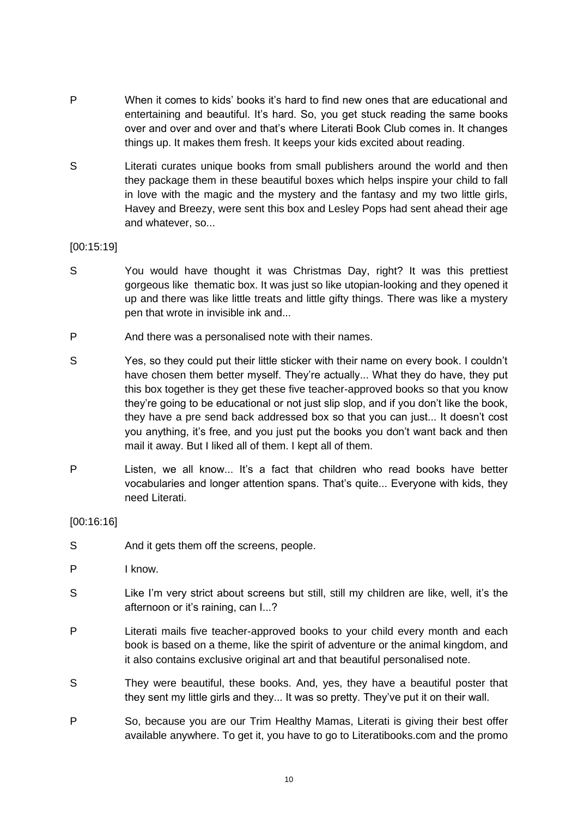- P When it comes to kids' books it's hard to find new ones that are educational and entertaining and beautiful. It's hard. So, you get stuck reading the same books over and over and over and that's where Literati Book Club comes in. It changes things up. It makes them fresh. It keeps your kids excited about reading.
- S Literati curates unique books from small publishers around the world and then they package them in these beautiful boxes which helps inspire your child to fall in love with the magic and the mystery and the fantasy and my two little girls, Havey and Breezy, were sent this box and Lesley Pops had sent ahead their age and whatever, so...

#### [00:15:19]

- S You would have thought it was Christmas Day, right? It was this prettiest gorgeous like thematic box. It was just so like utopian-looking and they opened it up and there was like little treats and little gifty things. There was like a mystery pen that wrote in invisible ink and...
- P And there was a personalised note with their names.
- S Yes, so they could put their little sticker with their name on every book. I couldn't have chosen them better myself. They're actually... What they do have, they put this box together is they get these five teacher-approved books so that you know they're going to be educational or not just slip slop, and if you don't like the book, they have a pre send back addressed box so that you can just... It doesn't cost you anything, it's free, and you just put the books you don't want back and then mail it away. But I liked all of them. I kept all of them.
- P Listen, we all know... It's a fact that children who read books have better vocabularies and longer attention spans. That's quite... Everyone with kids, they need Literati.

### [00:16:16]

- S And it gets them off the screens, people.
- P I know.
- S Like I'm very strict about screens but still, still my children are like, well, it's the afternoon or it's raining, can I...?
- P Literati mails five teacher-approved books to your child every month and each book is based on a theme, like the spirit of adventure or the animal kingdom, and it also contains exclusive original art and that beautiful personalised note.
- S They were beautiful, these books. And, yes, they have a beautiful poster that they sent my little girls and they... It was so pretty. They've put it on their wall.
- P So, because you are our Trim Healthy Mamas, Literati is giving their best offer available anywhere. To get it, you have to go to Literatibooks.com and the promo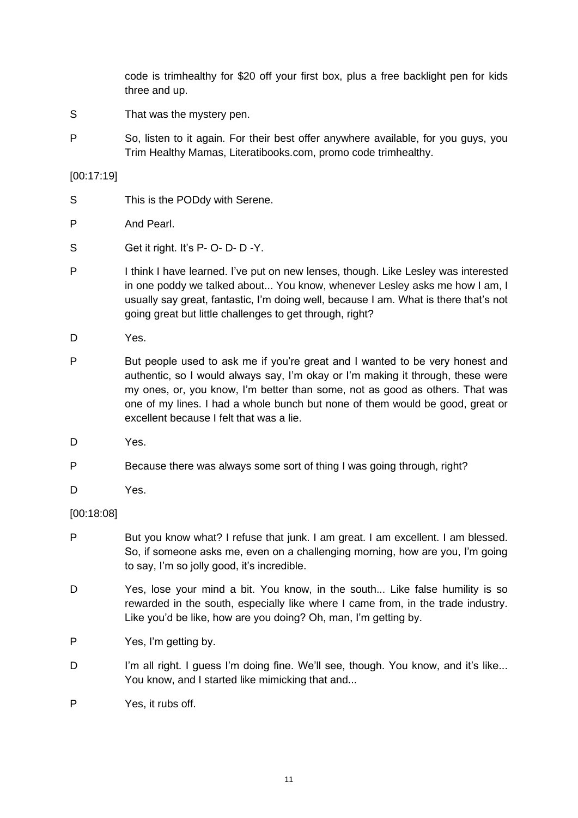code is trimhealthy for \$20 off your first box, plus a free backlight pen for kids three and up.

- S That was the mystery pen.
- P So, listen to it again. For their best offer anywhere available, for you guys, you Trim Healthy Mamas, Literatibooks.com, promo code trimhealthy.

#### [00:17:19]

- S This is the PODdy with Serene.
- P And Pearl.
- S Get it right. It's P- O- D- D-Y.
- P I think I have learned. I've put on new lenses, though. Like Lesley was interested in one poddy we talked about... You know, whenever Lesley asks me how I am, I usually say great, fantastic, I'm doing well, because I am. What is there that's not going great but little challenges to get through, right?
- D Yes.
- P But people used to ask me if you're great and I wanted to be very honest and authentic, so I would always say, I'm okay or I'm making it through, these were my ones, or, you know, I'm better than some, not as good as others. That was one of my lines. I had a whole bunch but none of them would be good, great or excellent because I felt that was a lie.
- D Yes.
- P Because there was always some sort of thing I was going through, right?
- D Yes.

#### [00:18:08]

- P But you know what? I refuse that junk. I am great. I am excellent. I am blessed. So, if someone asks me, even on a challenging morning, how are you, I'm going to say, I'm so jolly good, it's incredible.
- D Yes, lose your mind a bit. You know, in the south... Like false humility is so rewarded in the south, especially like where I came from, in the trade industry. Like you'd be like, how are you doing? Oh, man, I'm getting by.
- P Yes, I'm getting by.
- D I'm all right. I guess I'm doing fine. We'll see, though. You know, and it's like... You know, and I started like mimicking that and...
- P Yes, it rubs off.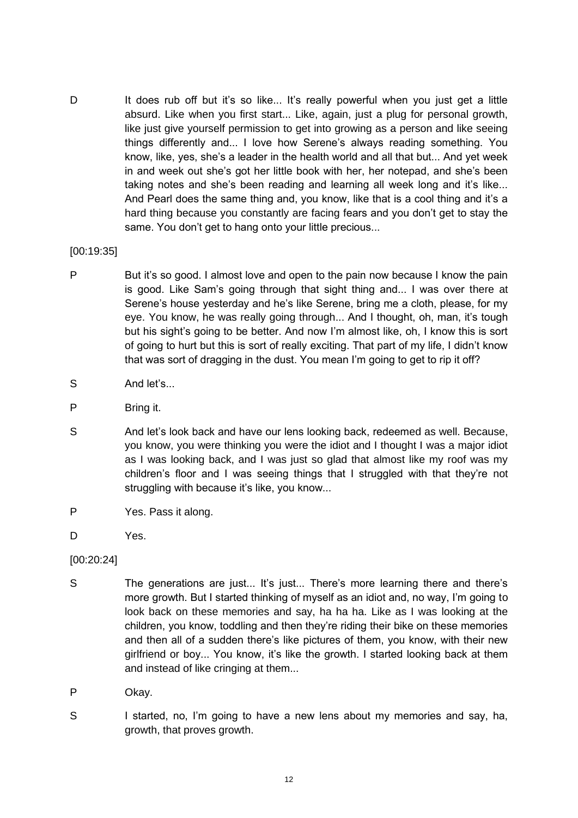D It does rub off but it's so like... It's really powerful when you just get a little absurd. Like when you first start... Like, again, just a plug for personal growth, like just give yourself permission to get into growing as a person and like seeing things differently and... I love how Serene's always reading something. You know, like, yes, she's a leader in the health world and all that but... And yet week in and week out she's got her little book with her, her notepad, and she's been taking notes and she's been reading and learning all week long and it's like... And Pearl does the same thing and, you know, like that is a cool thing and it's a hard thing because you constantly are facing fears and you don't get to stay the same. You don't get to hang onto your little precious...

#### [00:19:35]

- P But it's so good. I almost love and open to the pain now because I know the pain is good. Like Sam's going through that sight thing and... I was over there at Serene's house yesterday and he's like Serene, bring me a cloth, please, for my eye. You know, he was really going through... And I thought, oh, man, it's tough but his sight's going to be better. And now I'm almost like, oh, I know this is sort of going to hurt but this is sort of really exciting. That part of my life, I didn't know that was sort of dragging in the dust. You mean I'm going to get to rip it off?
- S And let's...
- P Bring it.
- S And let's look back and have our lens looking back, redeemed as well. Because, you know, you were thinking you were the idiot and I thought I was a major idiot as I was looking back, and I was just so glad that almost like my roof was my children's floor and I was seeing things that I struggled with that they're not struggling with because it's like, you know...
- P Yes. Pass it along.
- D Yes.
- [00:20:24]
- S The generations are just... It's just... There's more learning there and there's more growth. But I started thinking of myself as an idiot and, no way, I'm going to look back on these memories and say, ha ha ha. Like as I was looking at the children, you know, toddling and then they're riding their bike on these memories and then all of a sudden there's like pictures of them, you know, with their new girlfriend or boy... You know, it's like the growth. I started looking back at them and instead of like cringing at them...
- P Okav.
- S I started, no, I'm going to have a new lens about my memories and say, ha, growth, that proves growth.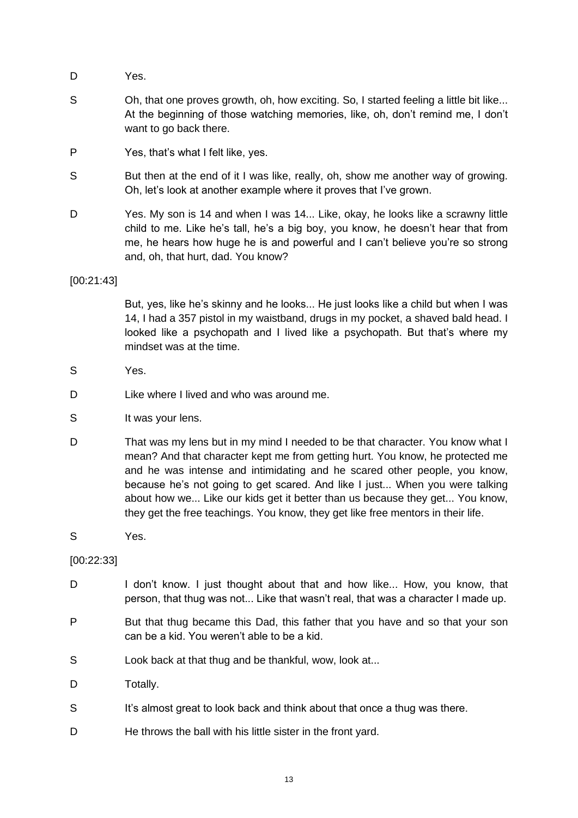- D Yes.
- S Oh, that one proves growth, oh, how exciting. So, I started feeling a little bit like... At the beginning of those watching memories, like, oh, don't remind me, I don't want to go back there.
- P Yes, that's what I felt like, yes.
- S But then at the end of it I was like, really, oh, show me another way of growing. Oh, let's look at another example where it proves that I've grown.
- D Yes. My son is 14 and when I was 14... Like, okay, he looks like a scrawny little child to me. Like he's tall, he's a big boy, you know, he doesn't hear that from me, he hears how huge he is and powerful and I can't believe you're so strong and, oh, that hurt, dad. You know?

[00:21:43]

But, yes, like he's skinny and he looks... He just looks like a child but when I was 14, I had a 357 pistol in my waistband, drugs in my pocket, a shaved bald head. I looked like a psychopath and I lived like a psychopath. But that's where my mindset was at the time.

- S Yes.
- D Like where I lived and who was around me.
- S It was your lens.
- D That was my lens but in my mind I needed to be that character. You know what I mean? And that character kept me from getting hurt. You know, he protected me and he was intense and intimidating and he scared other people, you know, because he's not going to get scared. And like I just... When you were talking about how we... Like our kids get it better than us because they get... You know, they get the free teachings. You know, they get like free mentors in their life.
- S Yes.

[00:22:33]

- D I don't know. I just thought about that and how like... How, you know, that person, that thug was not... Like that wasn't real, that was a character I made up.
- P But that thug became this Dad, this father that you have and so that your son can be a kid. You weren't able to be a kid.
- S Look back at that thug and be thankful, wow, look at...
- D Totally.
- S It's almost great to look back and think about that once a thug was there.
- D He throws the ball with his little sister in the front yard.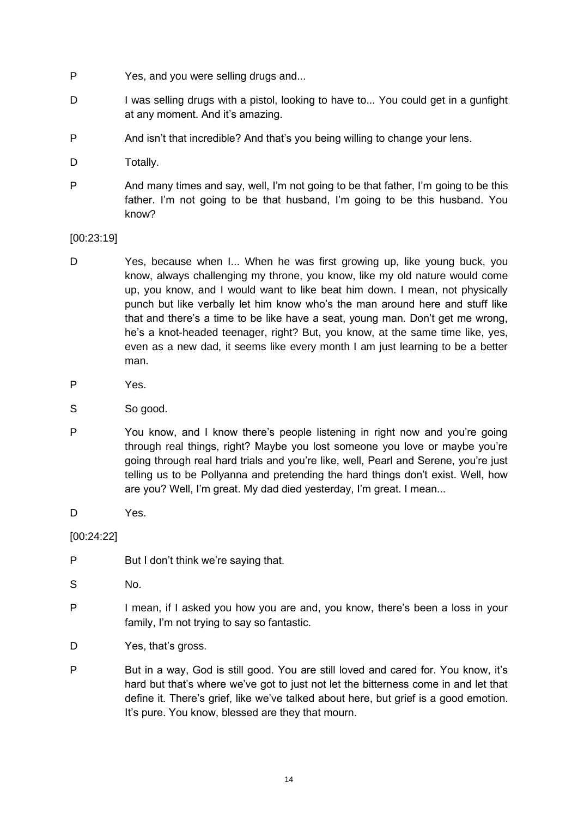- P Yes, and you were selling drugs and...
- D I was selling drugs with a pistol, looking to have to... You could get in a gunfight at any moment. And it's amazing.
- P And isn't that incredible? And that's you being willing to change your lens.
- D Totally.
- P And many times and say, well, I'm not going to be that father, I'm going to be this father. I'm not going to be that husband, I'm going to be this husband. You know?

[00:23:19]

- D Yes, because when I... When he was first growing up, like young buck, you know, always challenging my throne, you know, like my old nature would come up, you know, and I would want to like beat him down. I mean, not physically punch but like verbally let him know who's the man around here and stuff like that and there's a time to be like have a seat, young man. Don't get me wrong, he's a knot-headed teenager, right? But, you know, at the same time like, yes, even as a new dad, it seems like every month I am just learning to be a better man.
- P Yes.
- S So good.
- P You know, and I know there's people listening in right now and you're going through real things, right? Maybe you lost someone you love or maybe you're going through real hard trials and you're like, well, Pearl and Serene, you're just telling us to be Pollyanna and pretending the hard things don't exist. Well, how are you? Well, I'm great. My dad died yesterday, I'm great. I mean...
- D Yes.

[00:24:22]

- P But I don't think we're saying that.
- S No.
- P I mean, if I asked you how you are and, you know, there's been a loss in your family, I'm not trying to say so fantastic.
- D Yes, that's gross.
- P But in a way, God is still good. You are still loved and cared for. You know, it's hard but that's where we've got to just not let the bitterness come in and let that define it. There's grief, like we've talked about here, but grief is a good emotion. It's pure. You know, blessed are they that mourn.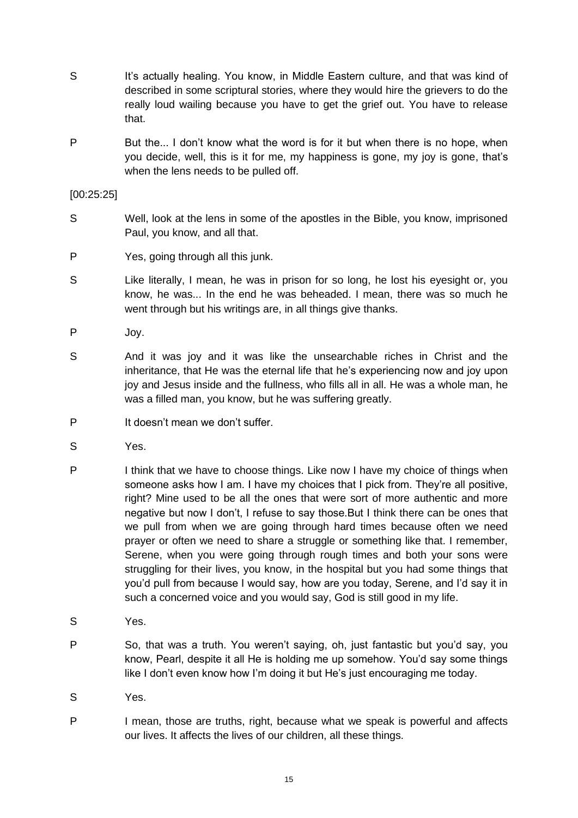- S It's actually healing. You know, in Middle Eastern culture, and that was kind of described in some scriptural stories, where they would hire the grievers to do the really loud wailing because you have to get the grief out. You have to release that.
- P But the... I don't know what the word is for it but when there is no hope, when you decide, well, this is it for me, my happiness is gone, my joy is gone, that's when the lens needs to be pulled off.

#### [00:25:25]

- S Well, look at the lens in some of the apostles in the Bible, you know, imprisoned Paul, you know, and all that.
- P Yes, going through all this junk.
- S Like literally, I mean, he was in prison for so long, he lost his eyesight or, you know, he was... In the end he was beheaded. I mean, there was so much he went through but his writings are, in all things give thanks.
- P Joy.
- S And it was joy and it was like the unsearchable riches in Christ and the inheritance, that He was the eternal life that he's experiencing now and joy upon joy and Jesus inside and the fullness, who fills all in all. He was a whole man, he was a filled man, you know, but he was suffering greatly.
- P It doesn't mean we don't suffer.
- S Yes.
- P I think that we have to choose things. Like now I have my choice of things when someone asks how I am. I have my choices that I pick from. They're all positive, right? Mine used to be all the ones that were sort of more authentic and more negative but now I don't, I refuse to say those.But I think there can be ones that we pull from when we are going through hard times because often we need prayer or often we need to share a struggle or something like that. I remember, Serene, when you were going through rough times and both your sons were struggling for their lives, you know, in the hospital but you had some things that you'd pull from because I would say, how are you today, Serene, and I'd say it in such a concerned voice and you would say, God is still good in my life.
- S Yes.
- P So, that was a truth. You weren't saying, oh, just fantastic but you'd say, you know, Pearl, despite it all He is holding me up somehow. You'd say some things like I don't even know how I'm doing it but He's just encouraging me today.
- S Yes.
- P I mean, those are truths, right, because what we speak is powerful and affects our lives. It affects the lives of our children, all these things.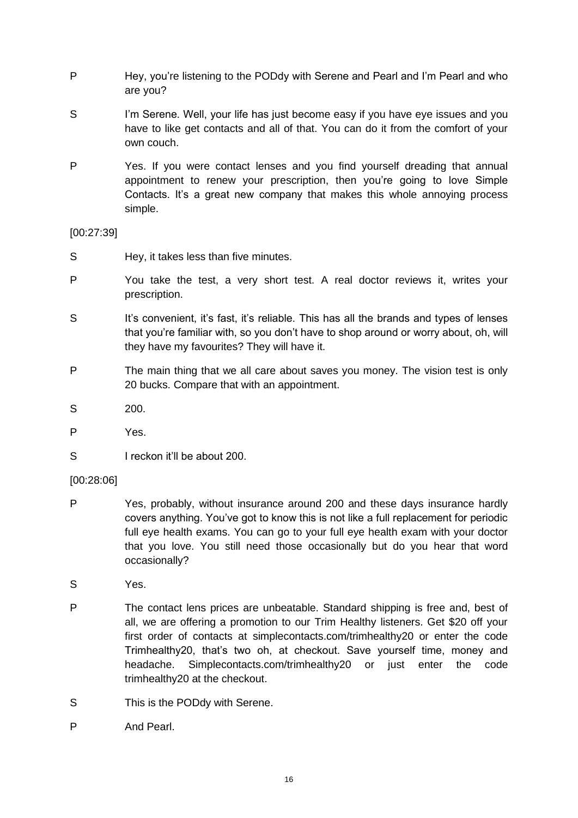- P Hey, you're listening to the PODdy with Serene and Pearl and I'm Pearl and who are you?
- S I'm Serene. Well, your life has just become easy if you have eye issues and you have to like get contacts and all of that. You can do it from the comfort of your own couch.
- P Yes. If you were contact lenses and you find yourself dreading that annual appointment to renew your prescription, then you're going to love Simple Contacts. It's a great new company that makes this whole annoying process simple.

#### [00:27:39]

- S Hey, it takes less than five minutes.
- P You take the test, a very short test. A real doctor reviews it, writes your prescription.
- S It's convenient, it's fast, it's reliable. This has all the brands and types of lenses that you're familiar with, so you don't have to shop around or worry about, oh, will they have my favourites? They will have it.
- P The main thing that we all care about saves you money. The vision test is only 20 bucks. Compare that with an appointment.
- S 200.
- P Yes.
- S I reckon it'll be about 200.

#### [00:28:06]

- P Yes, probably, without insurance around 200 and these days insurance hardly covers anything. You've got to know this is not like a full replacement for periodic full eye health exams. You can go to your full eye health exam with your doctor that you love. You still need those occasionally but do you hear that word occasionally?
- S Yes.
- P The contact lens prices are unbeatable. Standard shipping is free and, best of all, we are offering a promotion to our Trim Healthy listeners. Get \$20 off your first order of contacts at simplecontacts.com/trimhealthy20 or enter the code Trimhealthy20, that's two oh, at checkout. Save yourself time, money and headache. Simplecontacts.com/trimhealthy20 or just enter the code trimhealthy20 at the checkout.
- S This is the PODdy with Serene.
- P And Pearl.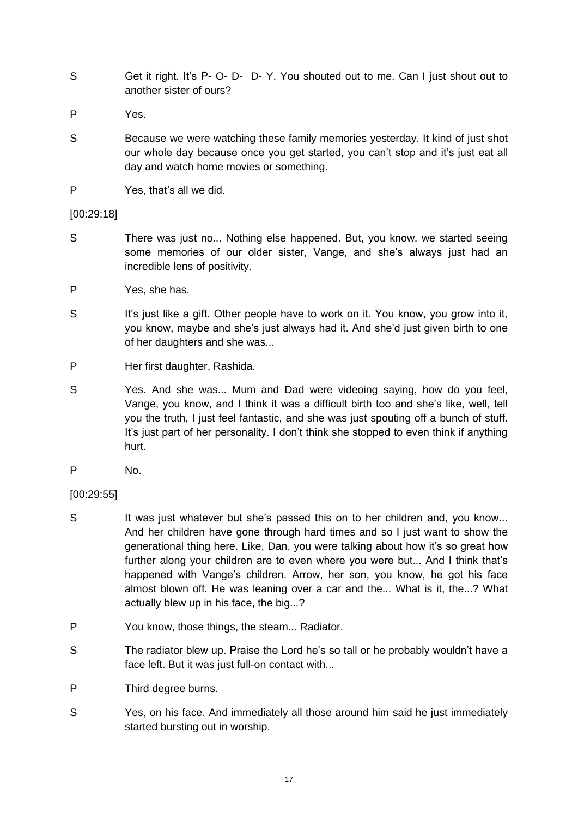- S Get it right. It's P- O- D- D- Y. You shouted out to me. Can I just shout out to another sister of ours?
- P Yes.
- S Because we were watching these family memories yesterday. It kind of just shot our whole day because once you get started, you can't stop and it's just eat all day and watch home movies or something.
- P Yes, that's all we did.

### [00:29:18]

- S There was just no... Nothing else happened. But, you know, we started seeing some memories of our older sister, Vange, and she's always just had an incredible lens of positivity.
- P Yes, she has.
- S It's just like a gift. Other people have to work on it. You know, you grow into it, you know, maybe and she's just always had it. And she'd just given birth to one of her daughters and she was...
- P Her first daughter, Rashida.
- S Yes. And she was... Mum and Dad were videoing saying, how do you feel, Vange, you know, and I think it was a difficult birth too and she's like, well, tell you the truth, I just feel fantastic, and she was just spouting off a bunch of stuff. It's just part of her personality. I don't think she stopped to even think if anything hurt.
- P No.

# [00:29:55]

- S It was just whatever but she's passed this on to her children and, you know... And her children have gone through hard times and so I just want to show the generational thing here. Like, Dan, you were talking about how it's so great how further along your children are to even where you were but... And I think that's happened with Vange's children. Arrow, her son, you know, he got his face almost blown off. He was leaning over a car and the... What is it, the...? What actually blew up in his face, the big...?
- P You know, those things, the steam... Radiator.
- S The radiator blew up. Praise the Lord he's so tall or he probably wouldn't have a face left. But it was just full-on contact with...
- P Third degree burns.
- S Yes, on his face. And immediately all those around him said he just immediately started bursting out in worship.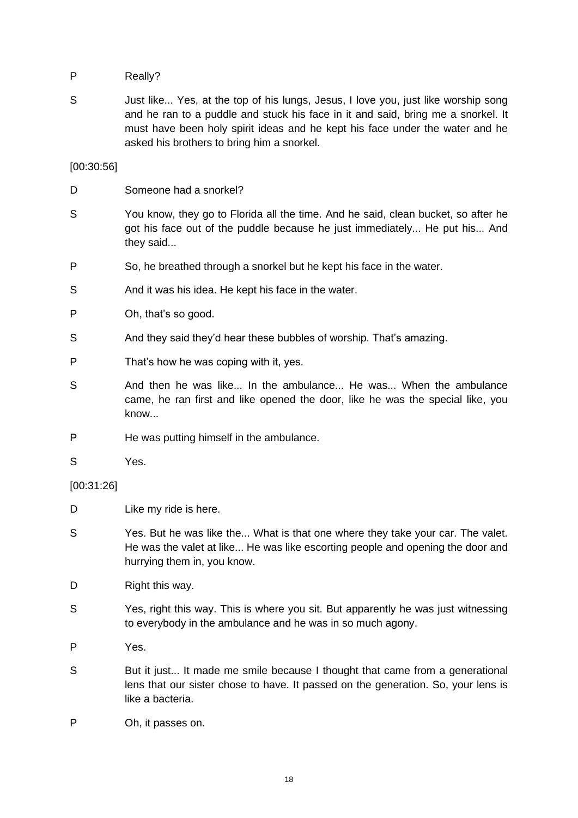P Really?

S Just like... Yes, at the top of his lungs, Jesus, I love you, just like worship song and he ran to a puddle and stuck his face in it and said, bring me a snorkel. It must have been holy spirit ideas and he kept his face under the water and he asked his brothers to bring him a snorkel.

[00:30:56]

- D Someone had a snorkel?
- S You know, they go to Florida all the time. And he said, clean bucket, so after he got his face out of the puddle because he just immediately... He put his... And they said...
- P So, he breathed through a snorkel but he kept his face in the water.
- S And it was his idea. He kept his face in the water.
- P Oh, that's so good.
- S And they said they'd hear these bubbles of worship. That's amazing.
- P That's how he was coping with it, yes.
- S And then he was like... In the ambulance... He was... When the ambulance came, he ran first and like opened the door, like he was the special like, you know...
- P He was putting himself in the ambulance.
- S Yes.

#### [00:31:26]

- D Like my ride is here.
- S Yes. But he was like the... What is that one where they take your car. The valet. He was the valet at like... He was like escorting people and opening the door and hurrying them in, you know.
- D Right this way.
- S Yes, right this way. This is where you sit. But apparently he was just witnessing to everybody in the ambulance and he was in so much agony.
- P Yes.
- S But it just... It made me smile because I thought that came from a generational lens that our sister chose to have. It passed on the generation. So, your lens is like a bacteria.
- P Oh, it passes on.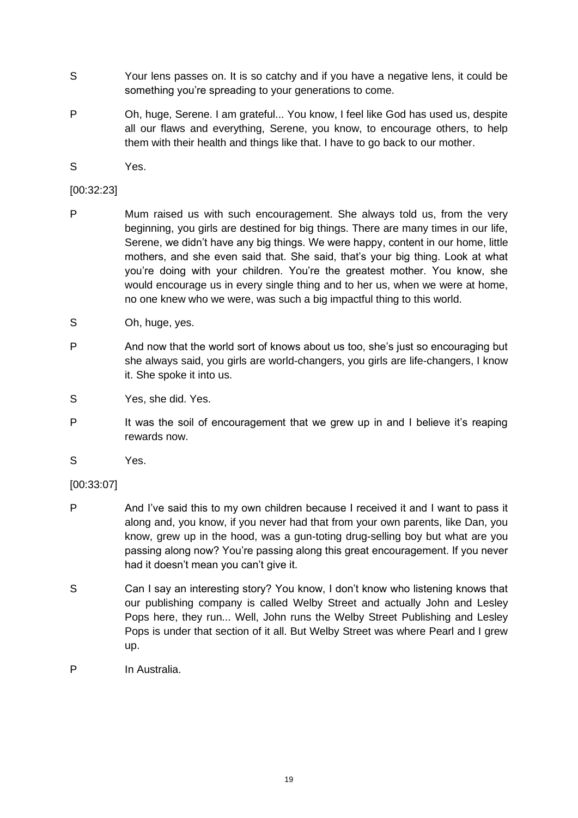- S Your lens passes on. It is so catchy and if you have a negative lens, it could be something you're spreading to your generations to come.
- P Oh, huge, Serene. I am grateful... You know, I feel like God has used us, despite all our flaws and everything, Serene, you know, to encourage others, to help them with their health and things like that. I have to go back to our mother.
- S Yes.

#### [00:32:23]

- P Mum raised us with such encouragement. She always told us, from the very beginning, you girls are destined for big things. There are many times in our life, Serene, we didn't have any big things. We were happy, content in our home, little mothers, and she even said that. She said, that's your big thing. Look at what you're doing with your children. You're the greatest mother. You know, she would encourage us in every single thing and to her us, when we were at home, no one knew who we were, was such a big impactful thing to this world.
- S Oh, huge, yes.
- P And now that the world sort of knows about us too, she's just so encouraging but she always said, you girls are world-changers, you girls are life-changers, I know it. She spoke it into us.
- S Yes, she did. Yes.
- P It was the soil of encouragement that we grew up in and I believe it's reaping rewards now.
- S Yes.

# [00:33:07]

- P And I've said this to my own children because I received it and I want to pass it along and, you know, if you never had that from your own parents, like Dan, you know, grew up in the hood, was a gun-toting drug-selling boy but what are you passing along now? You're passing along this great encouragement. If you never had it doesn't mean you can't give it.
- S Can I say an interesting story? You know, I don't know who listening knows that our publishing company is called Welby Street and actually John and Lesley Pops here, they run... Well, John runs the Welby Street Publishing and Lesley Pops is under that section of it all. But Welby Street was where Pearl and I grew up.
- P In Australia.